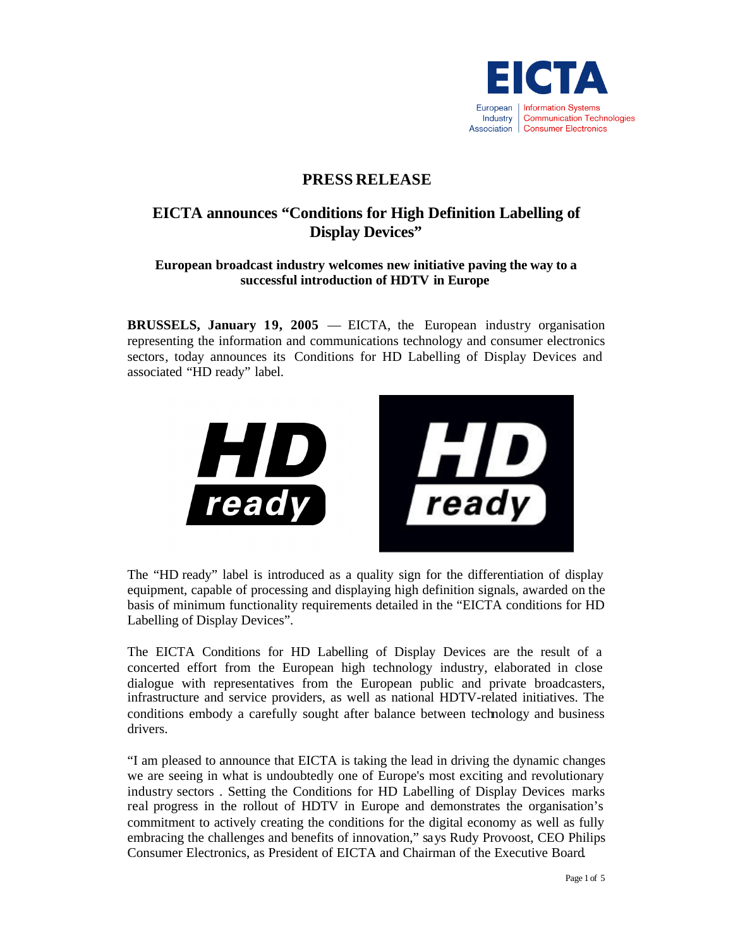

# **PRESS RELEASE**

# **EICTA announces "Conditions for High Definition Labelling of Display Devices"**

# **European broadcast industry welcomes new initiative paving the way to a successful introduction of HDTV in Europe**

**BRUSSELS, January 19, 2005** — EICTA, the European industry organisation representing the information and communications technology and consumer electronics sectors, today announces its Conditions for HD Labelling of Display Devices and associated "HD ready" label.



The "HD ready" label is introduced as a quality sign for the differentiation of display equipment, capable of processing and displaying high definition signals, awarded on the basis of minimum functionality requirements detailed in the "EICTA conditions for HD Labelling of Display Devices".

The EICTA Conditions for HD Labelling of Display Devices are the result of a concerted effort from the European high technology industry, elaborated in close dialogue with representatives from the European public and private broadcasters, infrastructure and service providers, as well as national HDTV-related initiatives. The conditions embody a carefully sought after balance between technology and business drivers.

"I am pleased to announce that EICTA is taking the lead in driving the dynamic changes we are seeing in what is undoubtedly one of Europe's most exciting and revolutionary industry sectors . Setting the Conditions for HD Labelling of Display Devices marks real progress in the rollout of HDTV in Europe and demonstrates the organisation's commitment to actively creating the conditions for the digital economy as well as fully embracing the challenges and benefits of innovation," says Rudy Provoost, CEO Philips Consumer Electronics, as President of EICTA and Chairman of the Executive Board.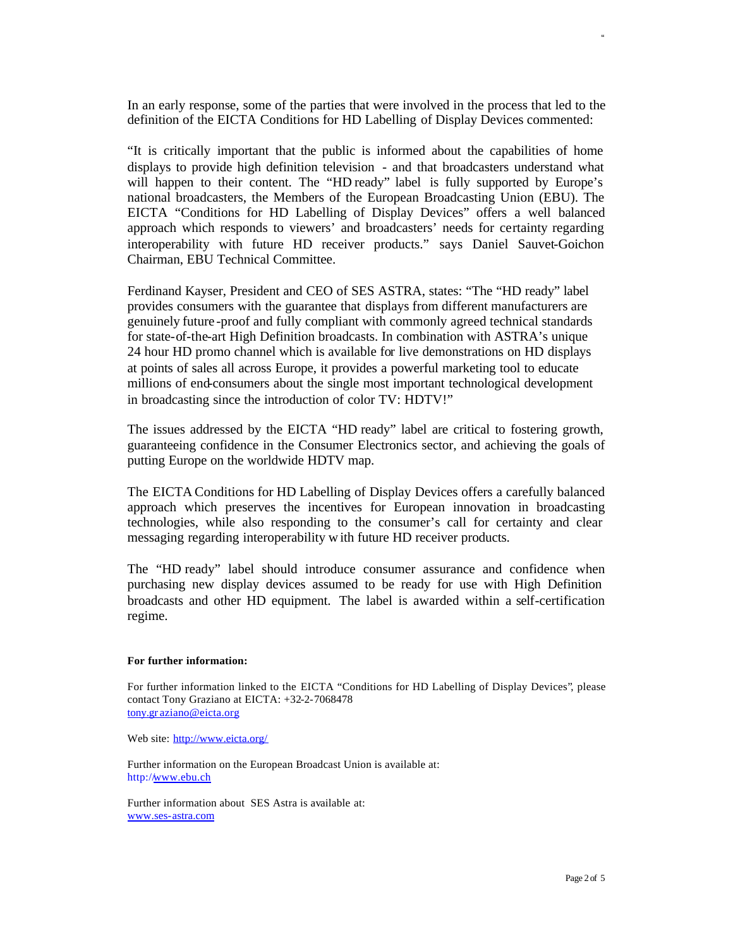In an early response, some of the parties that were involved in the process that led to the definition of the EICTA Conditions for HD Labelling of Display Devices commented:

"It is critically important that the public is informed about the capabilities of home displays to provide high definition television - and that broadcasters understand what will happen to their content. The "HD ready" label is fully supported by Europe's national broadcasters, the Members of the European Broadcasting Union (EBU). The EICTA "Conditions for HD Labelling of Display Devices" offers a well balanced approach which responds to viewers' and broadcasters' needs for certainty regarding interoperability with future HD receiver products." says Daniel Sauvet-Goichon Chairman, EBU Technical Committee.

Ferdinand Kayser, President and CEO of SES ASTRA, states: "The "HD ready" label provides consumers with the guarantee that displays from different manufacturers are genuinely future -proof and fully compliant with commonly agreed technical standards for state-of-the-art High Definition broadcasts. In combination with ASTRA's unique 24 hour HD promo channel which is available for live demonstrations on HD displays at points of sales all across Europe, it provides a powerful marketing tool to educate millions of end-consumers about the single most important technological development in broadcasting since the introduction of color TV: HDTV!"

The issues addressed by the EICTA "HD ready" label are critical to fostering growth, guaranteeing confidence in the Consumer Electronics sector, and achieving the goals of putting Europe on the worldwide HDTV map.

The EICTA Conditions for HD Labelling of Display Devices offers a carefully balanced approach which preserves the incentives for European innovation in broadcasting technologies, while also responding to the consumer's call for certainty and clear messaging regarding interoperability w ith future HD receiver products.

The "HD ready" label should introduce consumer assurance and confidence when purchasing new display devices assumed to be ready for use with High Definition broadcasts and other HD equipment. The label is awarded within a self-certification regime.

#### **For further information:**

For further information linked to the EICTA "Conditions for HD Labelling of Display Devices", please contact Tony Graziano at EICTA: +32-2-7068478 tony.gr aziano@eicta.org

Web site: http://www.eicta.org/

Further information on the European Broadcast Union is available at: http://www.ebu.ch

Further information about SES Astra is available at: www.ses-astra.com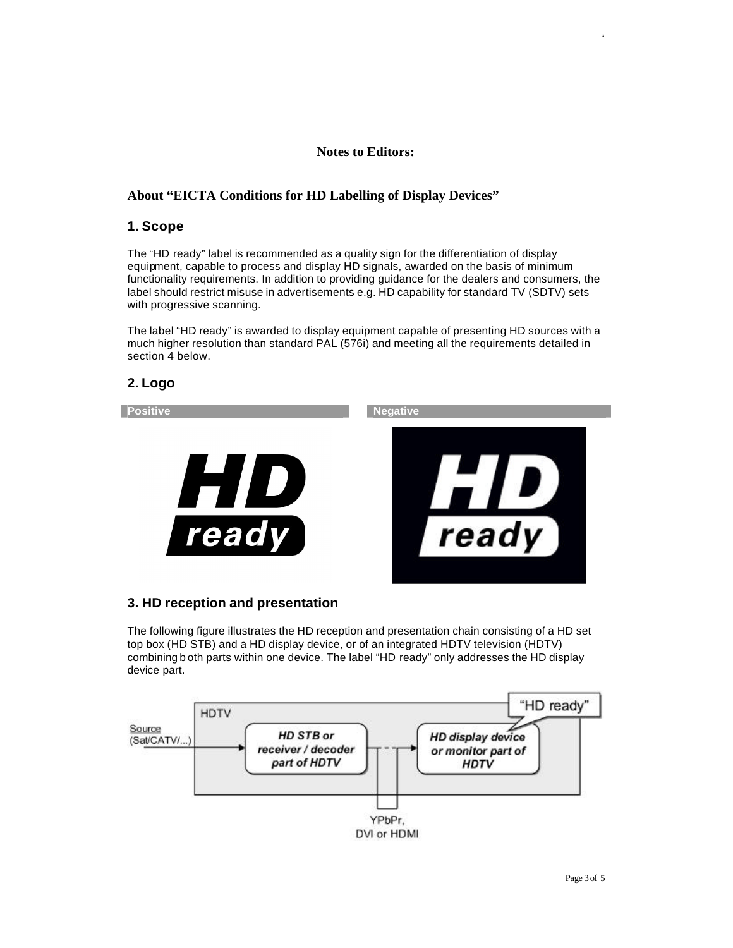#### **Notes to Editors:**

#### **About "EICTA Conditions for HD Labelling of Display Devices"**

#### **1. Scope**

The "HD ready" label is recommended as a quality sign for the differentiation of display equipment, capable to process and display HD signals, awarded on the basis of minimum functionality requirements. In addition to providing guidance for the dealers and consumers, the label should restrict misuse in advertisements e.g. HD capability for standard TV (SDTV) sets with progressive scanning.

The label "HD ready" is awarded to display equipment capable of presenting HD sources with a much higher resolution than standard PAL (576i) and meeting all the requirements detailed in section 4 below.

# **2. Logo**



# **3. HD reception and presentation**

The following figure illustrates the HD reception and presentation chain consisting of a HD set top box (HD STB) and a HD display device, or of an integrated HDTV television (HDTV) combining b oth parts within one device. The label "HD ready" only addresses the HD display device part.

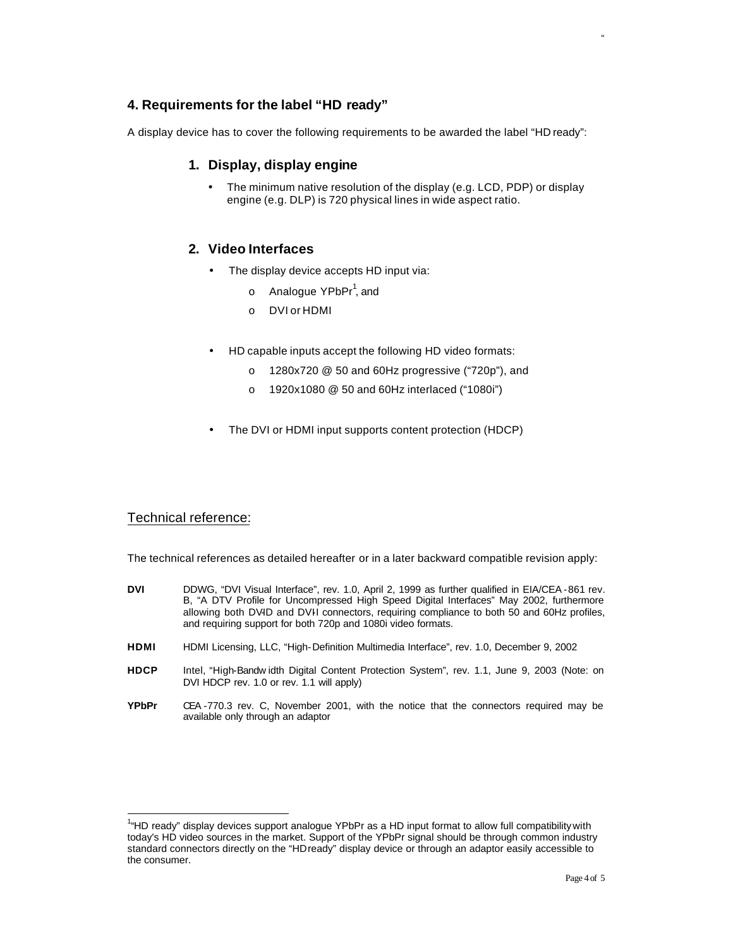# **4. Requirements for the label "HD ready"**

A display device has to cover the following requirements to be awarded the label "HD ready":

#### **1. Display, display engine**

• The minimum native resolution of the display (e.g. LCD, PDP) or display engine (e.g. DLP) is 720 physical lines in wide aspect ratio.

# **2. Video Interfaces**

- The display device accepts HD input via:
	- o Analogue YPbPr<sup>1</sup>, and
	- o DVI or HDMI
- HD capable inputs accept the following HD video formats:
	- o 1280x720 @ 50 and 60Hz progressive ("720p"), and
	- o 1920x1080 @ 50 and 60Hz interlaced ("1080i")
- The DVI or HDMI input supports content protection (HDCP)

# Technical reference:

 $\overline{\phantom{a}}$ 

The technical references as detailed hereafter or in a later backward compatible revision apply:

- DVI DDWG, "DVI Visual Interface", rev. 1.0, April 2, 1999 as further qualified in EIA/CEA 861 rev. B, "A DTV Profile for Uncompressed High Speed Digital Interfaces" May 2002, furthermore allowing both DVID and DVII connectors, requiring compliance to both 50 and 60Hz profiles, and requiring support for both 720p and 1080i video formats.
- **HDMI** HDMI Licensing, LLC, "High-Definition Multimedia Interface", rev. 1.0, December 9, 2002
- **HDCP** Intel, "High-Bandw idth Digital Content Protection System", rev. 1.1, June 9, 2003 (Note: on DVI HDCP rev. 1.0 or rev. 1.1 will apply)
- **YPbPr** CEA -770.3 rev. C, November 2001, with the notice that the connectors required may be available only through an adaptor

<sup>&</sup>lt;sup>1</sup>"HD ready" display devices support analogue YPbPr as a HD input format to allow full compatibility with today's HD video sources in the market. Support of the YPbPr signal should be through common industry standard connectors directly on the "HDready" display device or through an adaptor easily accessible to the consumer.